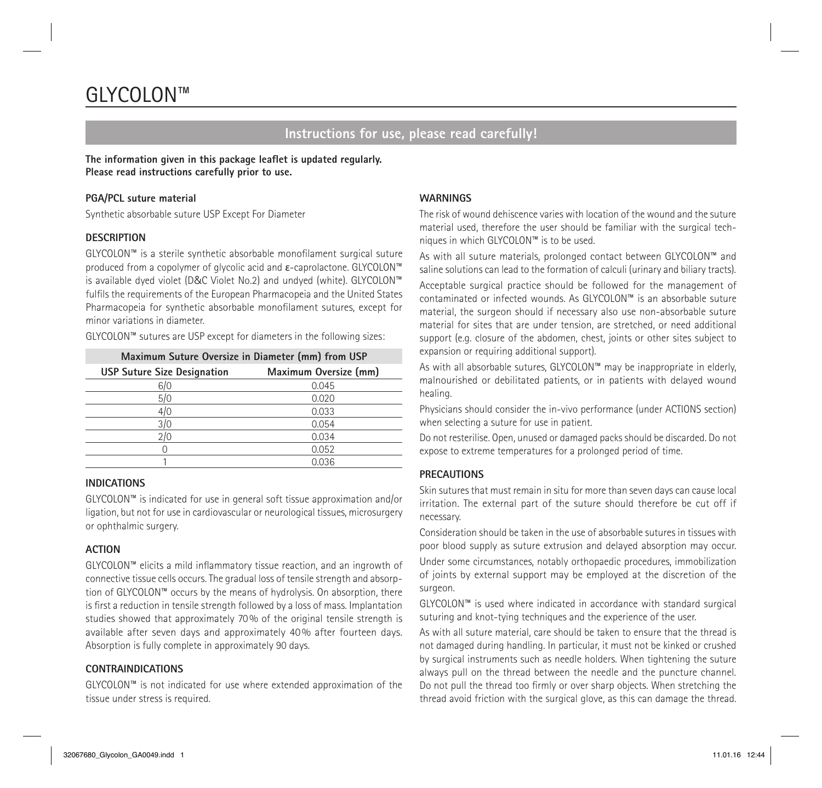# GLYCOLON™

# **Instructions for use, please read carefully!**

**The information given in this package leaflet is updated regularly. Please read instructions carefully prior to use.**

#### **PGA/PCL suture material**

Synthetic absorbable suture USP Except For Diameter

#### **DESCRIPTION**

GLYCOLON™ is a sterile synthetic absorbable monofilament surgical suture produced from a copolymer of glycolic acid and ε-caprolactone. GLYCOLON™ is available dyed violet (D&C Violet No.2) and undyed (white). GLYCOLON™ fulfils the requirements of the European Pharmacopeia and the United States Pharmacopeia for synthetic absorbable monofilament sutures, except for minor variations in diameter.

GLYCOLON™ sutures are USP except for diameters in the following sizes:

| Maximum Suture Oversize in Diameter (mm) from USP |                       |
|---------------------------------------------------|-----------------------|
| <b>USP Suture Size Designation</b>                | Maximum Oversize (mm) |
| 6/0                                               | 0.045                 |
| 5/0                                               | 0.020                 |
| 4/0                                               | 0.033                 |
| 3/0                                               | 0.054                 |
| 2/0                                               | 0.034                 |
|                                                   | 0.052                 |
|                                                   | 0.036                 |

#### **INDICATIONS**

GLYCOLON™ is indicated for use in general soft tissue approximation and/or ligation, but not for use in cardiovascular or neurological tissues, microsurgery or ophthalmic surgery.

# **ACTION**

GLYCOLON™ elicits a mild inflammatory tissue reaction, and an ingrowth of connective tissue cells occurs. The gradual loss of tensile strength and absorption of GLYCOLON™ occurs by the means of hydrolysis. On absorption, there is first a reduction in tensile strength followed by a loss of mass. Implantation studies showed that approximately 70% of the original tensile strength is available after seven days and approximately 40% after fourteen days. Absorption is fully complete in approximately 90 days.

# **CONTRAINDICATIONS**

GLYCOLON™ is not indicated for use where extended approximation of the tissue under stress is required.

# **WARNINGS**

The risk of wound dehiscence varies with location of the wound and the suture material used, therefore the user should be familiar with the surgical techniques in which GLYCOLON™ is to be used.

As with all suture materials, prolonged contact between GLYCOLON™ and saline solutions can lead to the formation of calculi (urinary and biliary tracts).

Acceptable surgical practice should be followed for the management of contaminated or infected wounds. As GLYCOLON™ is an absorbable suture material, the surgeon should if necessary also use non-absorbable suture material for sites that are under tension, are stretched, or need additional support (e.g. closure of the abdomen, chest, joints or other sites subject to expansion or requiring additional support).

As with all absorbable sutures, GLYCOLON™ may be inappropriate in elderly, malnourished or debilitated patients, or in patients with delayed wound healing.

Physicians should consider the in-vivo performance (under ACTIONS section) when selecting a suture for use in patient.

Do not resterilise. Open, unused or damaged packs should be discarded. Do not expose to extreme temperatures for a prolonged period of time.

# **PRECAUTIONS**

Skin sutures that must remain in situ for more than seven days can cause local irritation. The external part of the suture should therefore be cut off if necessary.

Consideration should be taken in the use of absorbable sutures in tissues with poor blood supply as suture extrusion and delayed absorption may occur. Under some circumstances, notably orthopaedic procedures, immobilization of joints by external support may be employed at the discretion of the surgeon.

GLYCOLON™ is used where indicated in accordance with standard surgical suturing and knot-tying techniques and the experience of the user.

As with all suture material, care should be taken to ensure that the thread is not damaged during handling. In particular, it must not be kinked or crushed by surgical instruments such as needle holders. When tightening the suture always pull on the thread between the needle and the puncture channel. Do not pull the thread too firmly or over sharp objects. When stretching the thread avoid friction with the surgical glove, as this can damage the thread.